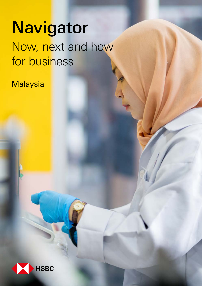# **Navigator** Now, next and how for business

**Malaysia** 

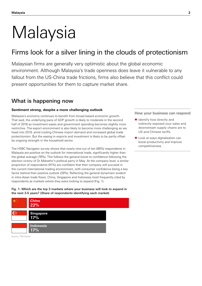# Malaysia

# Firms look for a silver lining in the clouds of protectionism

Malaysian firms are generally very optimistic about the global economic environment. Although Malaysia's trade openness does leave it vulnerable to any fallout from the US-China trade frictions, firms also believe that this conflict could present opportunities for them to capture market share.

## What is happening now

### **Sentiment strong, despite a more challenging outlook**

Malaysia's economy continues to benefit from broad-based economic growth. That said, the underlying pace of GDP growth is likely to moderate in the second half of 2018 as investment eases and government spending becomes slightly more restrictive. The export environment is also likely to become more challenging as we head into 2019, amid cooling Chinese import demand and increased global trade protectionism. But the easing in exports and investment is likely to be partly offset by ongoing strength in the household sector.

The HSBC Navigator survey shows that nearly nine out of ten (89%) respondents in Malaysia are positive on the outlook for international trade, significantly higher than the global average (78%). This follows the general boost to confidence following the election victory of Dr Mahathir's political party in May. At the company level, a similar proportion of respondents (91%) are confident that their company will succeed in the current international trading environment, with consumer confidence being a key factor behind their positive outlook (39%). Reflecting the general dynamism evident in intra-Asian trade flows, China, Singapore and Indonesia most frequently cited by respondents as markets where they were looking to expand (Fig. 1).

Fig. 1: Which are the top 3 markets where your business will look to expand in the next 3-5 years? (Share of respondents identifying each market)



Source: TNS Kantar

### How your business can respond

- ◆ Identify how directly and indirectly exposed your sales and downstream supply chains are to US and Chinese tariffs.
- ◆ Look at ways digitalisation can boost productivity and improve competitiveness.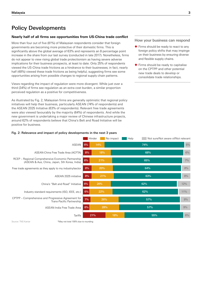# Policy Developments

### **Nearly half of all firms see opportunities from US-China trade conflict**

More than four out of five (81%) of Malaysian respondents consider that foreign governments are becoming more protective of their domestic firms. This is significantly above the global average of 63% and represents an 8 percentage point increase in the share from our last survey (conducted in late 2017). Nonetheless, firms do not appear to view rising global trade protectionism as having severe adverse implications for their business prospects, at least to date. Only 25% of respondents viewed the US-China trade frictions as a hindrance to their businesses; in fact, nearly half (48%) viewed these trade frictions as being helpful, suggesting firms see some opportunities arising from possible changes to regional supply chain patterns.

Views regarding the impact of regulation were more divergent. While just over a third (34%) of firms see regulation as an extra cost burden, a similar proportion perceived regulation as a positive for competitiveness.

As illustrated by Fig. 2, Malaysian firms are generally optimistic that regional policy initiatives will help their business, particularly ASEAN (74% of respondents) and the ASEAN 2025 Initiative (63% of respondents). Relevant free trade agreements were also viewed favourably by the majority (64%) of respondents. And while the new government is undertaking a major review of Chinese infrastructure projects, around 62% of respondents believe that China's Belt and Road Initiative will be positive for business.

### How your business can respond

- ◆ Firms should be ready to react to any foreign policy shifts that may impinge on their business by ensuring diverse and flexible supply chains.
- ◆ Firms should be ready to capitalise on the CPTPP and other potential new trade deals to develop or consolidate trade relationships.



Fig. 2: Relevance and impact of policy developments in the next 3 years Relevance and impact of policy developments in the next 3 years

Source: TNS Kantar

\*May not total 100% due to rounding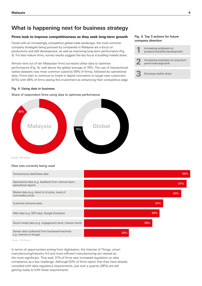## What is happening next for business strategy

### **Firms look to improve competitiveness as they seek long-term growth**

Faced with an increasingly competitive global trade landscape, the most common company strategies being pursued by companies in Malaysia are a focus on productivity and skill development, as well as improving long-term performance (Fig. 3). For less mature firms, survey results suggest the key focus is building market share.

Almost nine out of ten Malaysian firms surveyed utilise data to optimise performance (Fig. 4), well above the global average of 75%. The use of transactional (sales) datasets was most common (used by 59% of firms), followed by operational data. Firms plan to continue to invest in digital innovation to target new customers (51%) with 46% of firms seeing this investment as enhancing their competitive edge.

### Fig. 4: Using data in business

Share of respondent firms using data to optimise performance Share of respondent firms using data to optimise performance



Source: TNS Kantar

### Data sets currently being used Data sets currently being used

| Transactional data/Sales data                                              |     | 59% |
|----------------------------------------------------------------------------|-----|-----|
| Operational data (e.g. feedback from internal team,<br>operational report) |     | 57% |
| Market data (e.g. trend of oil price, trend of<br>commodity price)         |     | 54% |
| Customer personal data                                                     | 44% |     |
| Web data (e.g. SEO data, Google Analytics)                                 | 42% |     |
| Social media data (e.g. engagement level, interest trend)                  | 38% |     |
| Sensor data (collected from hardware/machines<br>e.g. internet of things)  | 25% |     |

Source: TNS Kantar

In terms of opportunities arising from digitisation, the Internet of Things, smart manufacturing/industry 4.0 and more efficient manufacturing are viewed as the most significant. That said, 31% of firms saw increased regulation on data compliance as a key challenge. Although 63% of firms report that they have already complied with data regulatory requirements, just over a quarter (26%) are still getting ready to fulfil these requirements.

### Fig. 3: Top 3 actions for future company direction

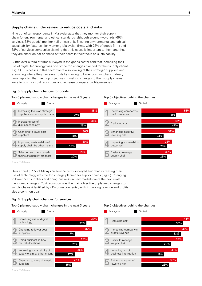### **Supply chains under review to reduce costs and risks**

Nine out of ten respondents in Malaysia state that they monitor their supply chain for environmental and ethical standards, although around two-thirds (66% services, 63% goods) monitor half or less of it. Ensuring environmental and ethical sustainability features highly among Malaysian firms, with 72% of goods firms and 68% of services companies claiming that this cause is important to them and that they are either on par or ahead of their peers in their focus on sustainability.

A little over a third of firms surveyed in the goods sector said that increasing their use of digital technology was one of the top changes planned for their supply chains (Fig. 5). Businesses in this sector were also looking at their strategic suppliers and examining where they can save costs by moving to lower cost suppliers. Indeed, firms reported that their top objectives in making changes to their supply chains were to push for cost reductions and increase company profits/revenues.

### Fig. 5: Supply chain changes for goods

Top 5 planned supply chain changes in the next 3 years Top 5 objectives behind the changes

### **Top 5 objectives behind the changes**

**Top 5 objectives behind the changes**



Source: TNS Kantar

Over a third (37%) of Malaysian service firms surveyed said that increasing their use of technology was the top change planned for supply chains (Fig. 6). Changing to lower cost suppliers and doing business in new markets were the next most mentioned changes. Cost reduction was the main objective of planned changes to supply chains (identified by 41% of respondents), with improving revenue and profits also a common goal.

### Fig. 6: Supply chain changes for services

**Top 5 planned supply chain changes in the next 3 years** Top 5 planned supply chain changes in the next 3 years Top 5 objectives behind the changes

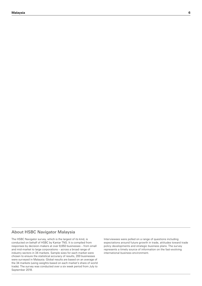### About HSBC Navigator Malaysia

The HSBC Navigator survey, which is the largest of its kind, is conducted on behalf of HSBC by Kantar TNS. It is compiled from responses by decision-makers at over 8,650 businesses – from small and mid-market to large corporations – across a broad range of industry sectors in 34 markets. Sample sizes for each market were chosen to ensure the statistical accuracy of results, 200 businesses were surveyed in Malaysia. Global results are based on an average of the 34 markets (using weights based on each market's share of world trade). The survey was conducted over a six week period from July to September 2018.

Interviewees were polled on a range of questions including expectations around future growth in trade, attitudes toward trade policy developments and strategic business plans. The survey represents a timely source of information on the fast-evolving international business environment.